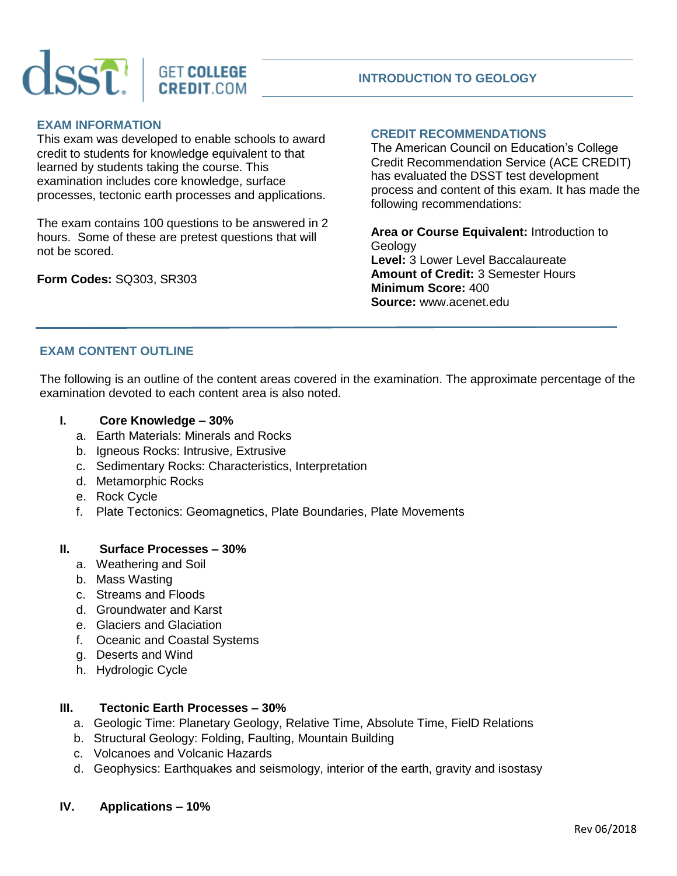

# **INTRODUCTION TO GEOLOGY**

## **EXAM INFORMATION**

This exam was developed to enable schools to award credit to students for knowledge equivalent to that learned by students taking the course. This examination includes core knowledge, surface processes, tectonic earth processes and applications.

The exam contains 100 questions to be answered in 2 hours. Some of these are pretest questions that will not be scored.

**Form Codes:** SQ303, SR303

# **CREDIT RECOMMENDATIONS**

The American Council on Education's College Credit Recommendation Service (ACE CREDIT) has evaluated the DSST test development process and content of this exam. It has made the following recommendations:

**Area or Course Equivalent:** Introduction to Geology **Level:** 3 Lower Level Baccalaureate **Amount of Credit:** 3 Semester Hours **Minimum Score:** 400 **Source:** www.acenet.edu

### **EXAM CONTENT OUTLINE**

The following is an outline of the content areas covered in the examination. The approximate percentage of the examination devoted to each content area is also noted.

- **I. Core Knowledge – 30%**
	- a. Earth Materials: Minerals and Rocks
	- b. Igneous Rocks: Intrusive, Extrusive
	- c. Sedimentary Rocks: Characteristics, Interpretation
	- d. Metamorphic Rocks
	- e. Rock Cycle
	- f. Plate Tectonics: Geomagnetics, Plate Boundaries, Plate Movements

## **II. Surface Processes – 30%**

- a. Weathering and Soil
- b. Mass Wasting
- c. Streams and Floods
- d. Groundwater and Karst
- e. Glaciers and Glaciation
- f. Oceanic and Coastal Systems
- g. Deserts and Wind
- h. Hydrologic Cycle

### **III. Tectonic Earth Processes – 30%**

- a. Geologic Time: Planetary Geology, Relative Time, Absolute Time, FielD Relations
- b. Structural Geology: Folding, Faulting, Mountain Building
- c. Volcanoes and Volcanic Hazards
- d. Geophysics: Earthquakes and seismology, interior of the earth, gravity and isostasy

### **IV. Applications – 10%**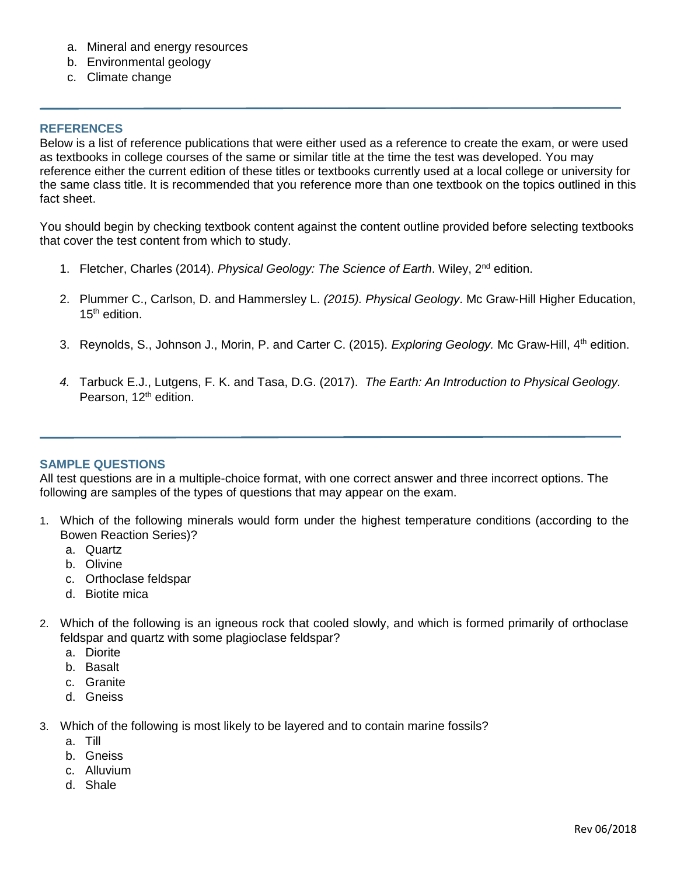- a. Mineral and energy resources
- b. Environmental geology
- c. Climate change

#### **REFERENCES**

Below is a list of reference publications that were either used as a reference to create the exam, or were used as textbooks in college courses of the same or similar title at the time the test was developed. You may reference either the current edition of these titles or textbooks currently used at a local college or university for the same class title. It is recommended that you reference more than one textbook on the topics outlined in this fact sheet.

You should begin by checking textbook content against the content outline provided before selecting textbooks that cover the test content from which to study.

- 1. Fletcher, Charles (2014). *Physical Geology: The Science of Earth*. Wiley, 2nd edition.
- 2. Plummer C., Carlson, D. and Hammersley L. *(2015). Physical Geology*. Mc Graw-Hill Higher Education,  $15<sup>th</sup>$  edition.
- 3. Reynolds, S., Johnson J., Morin, P. and Carter C. (2015). *Exploring Geology.* Mc Graw-Hill, 4th edition.
- *4.* Tarbuck E.J., Lutgens, F. K. and Tasa, D.G. (2017). *The Earth: An Introduction to Physical Geology.*  Pearson, 12<sup>th</sup> edition.

#### **SAMPLE QUESTIONS**

All test questions are in a multiple-choice format, with one correct answer and three incorrect options. The following are samples of the types of questions that may appear on the exam.

- 1. Which of the following minerals would form under the highest temperature conditions (according to the Bowen Reaction Series)?
	- a. Quartz
	- b. Olivine
	- c. Orthoclase feldspar
	- d. Biotite mica
- 2. Which of the following is an igneous rock that cooled slowly, and which is formed primarily of orthoclase feldspar and quartz with some plagioclase feldspar?
	- a. Diorite
	- b. Basalt
	- c. Granite
	- d. Gneiss
- 3. Which of the following is most likely to be layered and to contain marine fossils?
	- a. Till
	- b. Gneiss
	- c. Alluvium
	- d. Shale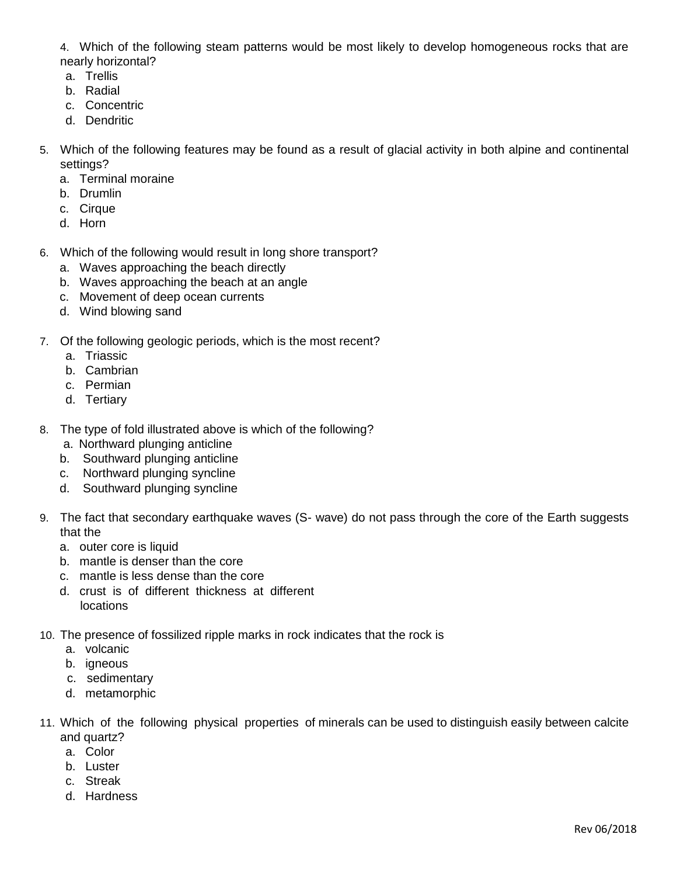4. Which of the following steam patterns would be most likely to develop homogeneous rocks that are nearly horizontal?

- a. Trellis
- b. Radial
- c. Concentric
- d. Dendritic
- 5. Which of the following features may be found as a result of glacial activity in both alpine and continental settings?
	- a. Terminal moraine
	- b. Drumlin
	- c. Cirque
	- d. Horn
- 6. Which of the following would result in long shore transport?
	- a. Waves approaching the beach directly
	- b. Waves approaching the beach at an angle
	- c. Movement of deep ocean currents
	- d. Wind blowing sand
- 7. Of the following geologic periods, which is the most recent?
	- a. Triassic
	- b. Cambrian
	- c. Permian
	- d. Tertiary
- 8. The type of fold illustrated above is which of the following?
	- a. Northward plunging anticline
	- b. Southward plunging anticline
	- c. Northward plunging syncline
	- d. Southward plunging syncline
- 9. The fact that secondary earthquake waves (S- wave) do not pass through the core of the Earth suggests that the
	- a. outer core is liquid
	- b. mantle is denser than the core
	- c. mantle is less dense than the core
	- d. crust is of different thickness at different locations
- 10. The presence of fossilized ripple marks in rock indicates that the rock is
	- a. volcanic
	- b. igneous
	- c. sedimentary
	- d. metamorphic
- 11. Which of the following physical properties of minerals can be used to distinguish easily between calcite and quartz?
	- a. Color
	- b. Luster
	- c. Streak
	- d. Hardness